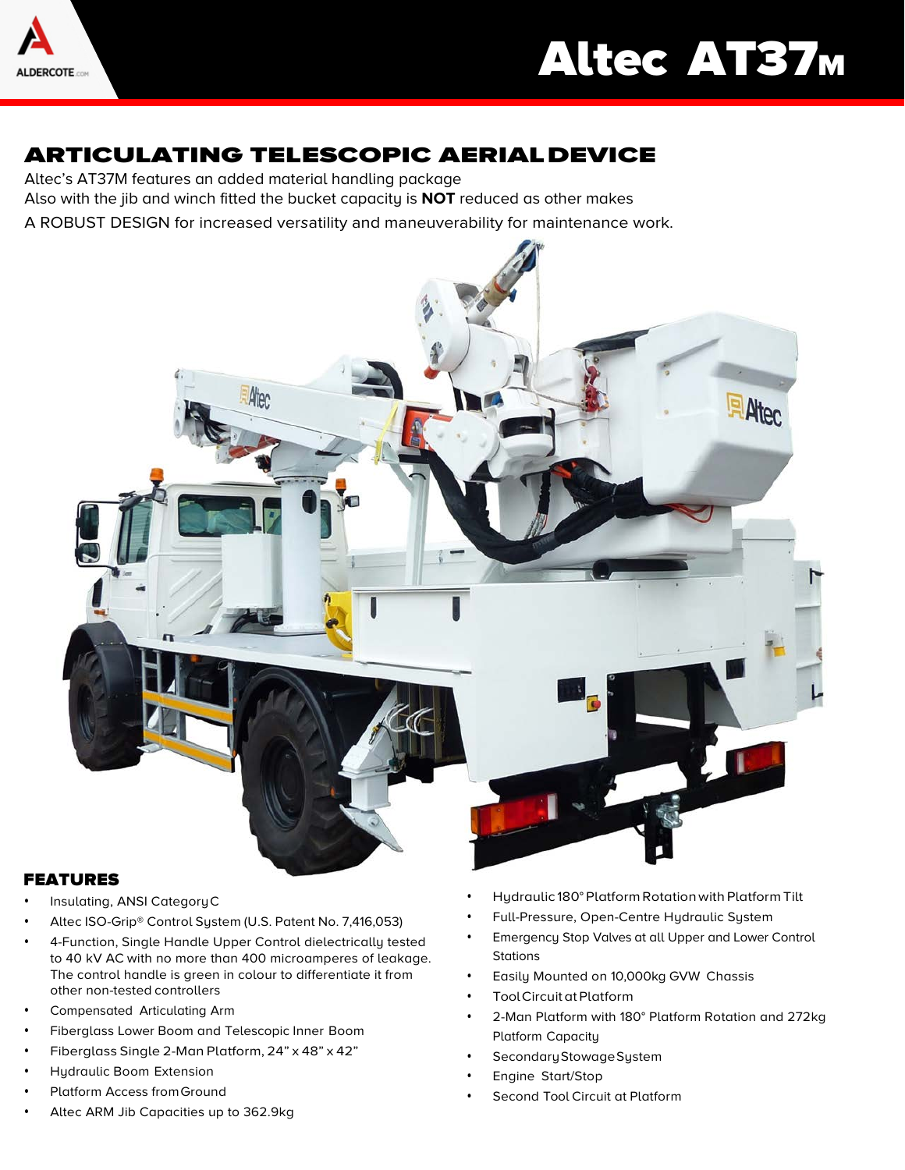

# Altec AT37M

# ARTICULATING TELESCOPIC AERIALDEVICE

Altec's AT37M features an added material handling package Also with the jib and winch fitted the bucket capacity is **NOT** reduced as other makes A ROBUST DESIGN for increased versatility and maneuverability for maintenance work.



## FEATURES

- Insulating, ANSI CategoryC
- Altec ISO-Grip® Control System (U.S. Patent No. 7,416,053)
- 4-Function, Single Handle Upper Control dielectrically tested to 40 kV AC with no more than 400 microamperes of leakage. The control handle is green in colour to differentiate it from other non-tested controllers
- Compensated Articulating Arm
- Fiberglass Lower Boom and Telescopic Inner Boom
- Fiberglass Single 2-Man Platform, 24" x 48" x 42"
- Hydraulic Boom Extension
- Platform Access fromGround
- Altec ARM Jib Capacities up to 362.9kg
- Hydraulic 180° Platform Rotationwith Platform Tilt
- Full-Pressure, Open-Centre Hydraulic System
- Emergency Stop Valves at all Upper and Lower Control **Stations**
- Easily Mounted on 10,000kg GVW Chassis
- Tool Circuit at Platform
- 2-Man Platform with 180° Platform Rotation and 272kg Platform Capacity
- Secondary Stowage System
- Engine Start/Stop
- Second Tool Circuit at Platform